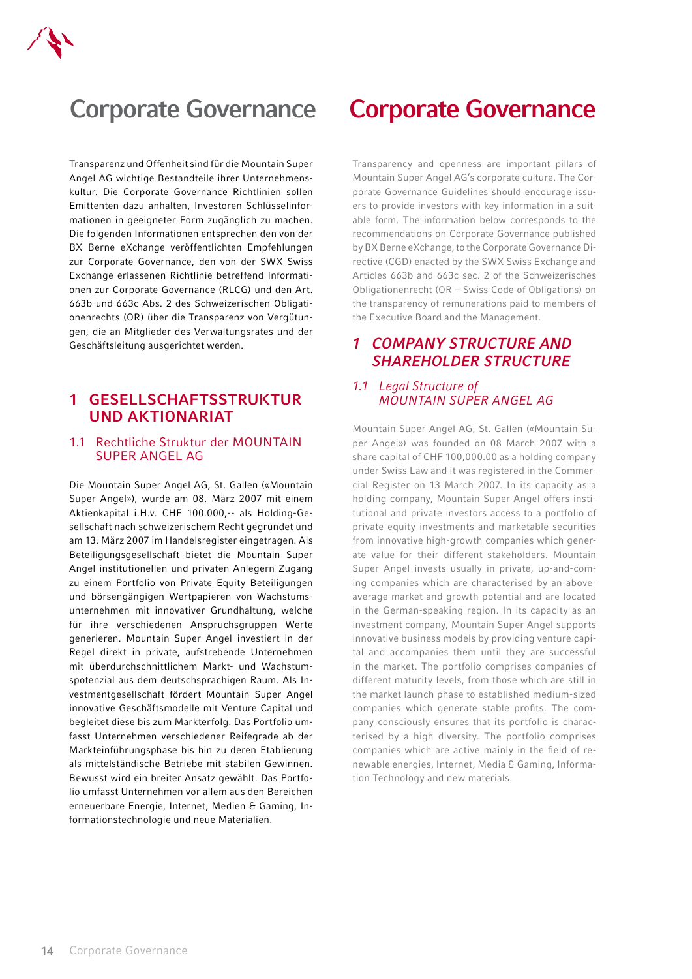

# Corporate Governance Corporate Governance

Transparenz und Offenheit sind für die Mountain Super Angel AG wichtige Bestandteile ihrer Unternehmenskultur. Die Corporate Governance Richtlinien sollen Emittenten dazu anhalten, Investoren Schlüsselinformationen in geeigneter Form zugänglich zu machen. Die folgenden Informationen entsprechen den von der BX Berne eXchange veröffentlichten Empfehlungen zur Corporate Governance, den von der SWX Swiss Exchange erlassenen Richtlinie betreffend Informationen zur Corporate Governance (RLCG) und den Art. 663b und 663c Abs. 2 des Schweizerischen Obligationenrechts (OR) über die Transparenz von Vergütungen, die an Mitglieder des Verwaltungsrates und der Geschäftsleitung ausgerichtet werden.

# 1 GESELLSCHAFTSSTRUKTUR UND AKTIONARIAT

# 1.1 Rechtliche Struktur der MOUNTAIN SUPER ANGEL AG

Die Mountain Super Angel AG, St. Gallen («Mountain Super Angel»), wurde am 08. März 2007 mit einem Aktienkapital i.H.v. CHF 100.000,-- als Holding-Gesellschaft nach schweizerischem Recht gegründet und am 13. März 2007 im Handelsregister eingetragen. Als Beteiligungsgesellschaft bietet die Mountain Super Angel institutionellen und privaten Anlegern Zugang zu einem Portfolio von Private Equity Beteiligungen und börsengängigen Wertpapieren von Wachstumsunternehmen mit innovativer Grundhaltung, welche für ihre verschiedenen Anspruchsgruppen Werte generieren. Mountain Super Angel investiert in der Regel direkt in private, aufstrebende Unternehmen mit überdurchschnittlichem Markt- und Wachstumspotenzial aus dem deutschsprachigen Raum. Als Investmentgesellschaft fördert Mountain Super Angel innovative Geschäftsmodelle mit Venture Capital und begleitet diese bis zum Markterfolg. Das Portfolio umfasst Unternehmen verschiedener Reifegrade ab der Markteinführungsphase bis hin zu deren Etablierung als mittelständische Betriebe mit stabilen Gewinnen. Bewusst wird ein breiter Ansatz gewählt. Das Portfolio umfasst Unternehmen vor allem aus den Bereichen erneuerbare Energie, Internet, Medien & Gaming, Informationstechnologie und neue Materialien.

Transparency and openness are important pillars of Mountain Super Angel AG's corporate culture. The Corporate Governance Guidelines should encourage issuers to provide investors with key information in a suitable form. The information below corresponds to the recommendations on Corporate Governance published by BX Berne eXchange, to the Corporate Governance Directive (CGD) enacted by the SWX Swiss Exchange and Articles 663b and 663c sec. 2 of the Schweizerisches Obligationenrecht (OR – Swiss Code of Obligations) on the transparency of remunerations paid to members of the Executive Board and the Management.

# 1 COMPANY STRUCTURE AND SHAREHOLDER STRUCTURE

### 1.1 Legal Structure of MOUNTAIN SUPER ANGEL AG

Mountain Super Angel AG, St. Gallen («Mountain Super Angel») was founded on 08 March 2007 with a share capital of CHF 100,000.00 as a holding company under Swiss Law and it was registered in the Commercial Register on 13 March 2007. In its capacity as a holding company, Mountain Super Angel offers institutional and private investors access to a portfolio of private equity investments and marketable securities from innovative high-growth companies which generate value for their different stakeholders. Mountain Super Angel invests usually in private, up-and-coming companies which are characterised by an aboveaverage market and growth potential and are located in the German-speaking region. In its capacity as an investment company, Mountain Super Angel supports innovative business models by providing venture capital and accompanies them until they are successful in the market. The portfolio comprises companies of different maturity levels, from those which are still in the market launch phase to established medium-sized companies which generate stable profits. The company consciously ensures that its portfolio is characterised by a high diversity. The portfolio comprises companies which are active mainly in the field of renewable energies, Internet, Media & Gaming, Information Technology and new materials.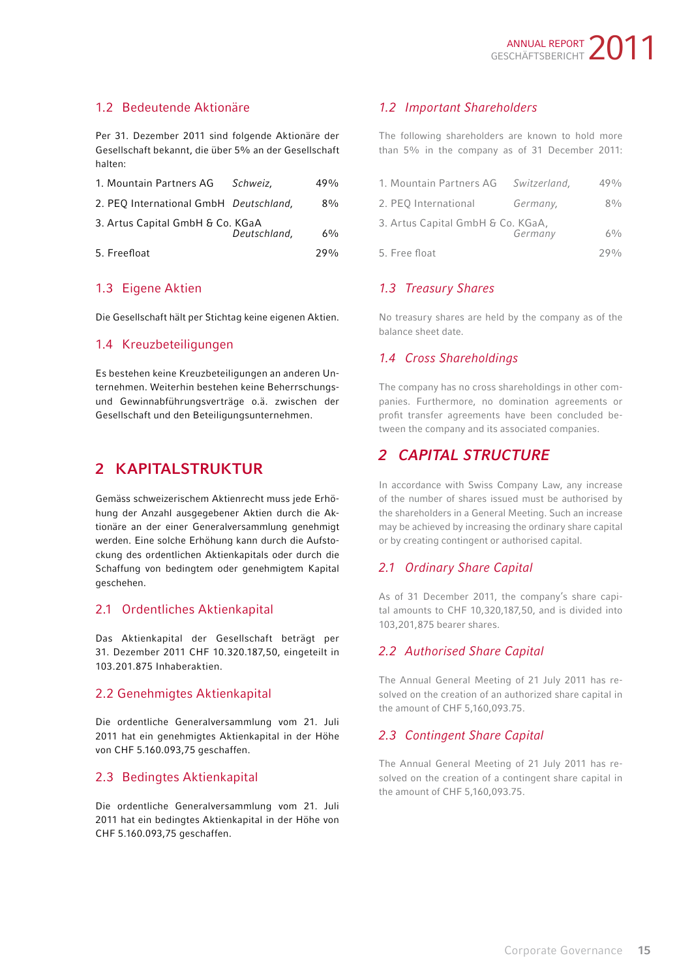### 1.2 Bedeutende Aktionäre

Per 31. Dezember 2011 sind folgende Aktionäre der Gesellschaft bekannt, die über 5% an der Gesellschaft halten:

| 1. Mountain Partners AG                | Schweiz.     | 49%   |
|----------------------------------------|--------------|-------|
| 2. PEO International GmbH Deutschland, |              | $8\%$ |
| 3. Artus Capital GmbH & Co. KGaA       | Deutschland, | $6\%$ |
| 5. Freefloat                           |              | 29%   |

# 1.3 Eigene Aktien

Die Gesellschaft hält per Stichtag keine eigenen Aktien.

### 1.4 Kreuzbeteiligungen

Es bestehen keine Kreuzbeteiligungen an anderen Unternehmen. Weiterhin bestehen keine Beherrschungsund Gewinnabführungsverträge o.ä. zwischen der Gesellschaft und den Beteiligungsunternehmen.

# 2 KAPITALSTRUKTUR

Gemäss schweizerischem Aktienrecht muss jede Erhöhung der Anzahl ausgegebener Aktien durch die Aktionäre an der einer Generalversammlung genehmigt werden. Eine solche Erhöhung kann durch die Aufstockung des ordentlichen Aktienkapitals oder durch die Schaffung von bedingtem oder genehmigtem Kapital geschehen.

# 2.1 Ordentliches Aktienkapital

Das Aktienkapital der Gesellschaft beträgt per 31. Dezember 2011 CHF 10.320.187,50, eingeteilt in 103.201.875 Inhaberaktien.

### 2.2 Genehmigtes Aktienkapital

Die ordentliche Generalversammlung vom 21. Juli 2011 hat ein genehmigtes Aktienkapital in der Höhe von CHF 5.160.093,75 geschaffen.

### 2.3 Bedingtes Aktienkapital

Die ordentliche Generalversammlung vom 21. Juli 2011 hat ein bedingtes Aktienkapital in der Höhe von CHF 5.160.093,75 geschaffen.

# 1.2 Important Shareholders

The following shareholders are known to hold more than 5% in the company as of 31 December 2011:

| 1. Mountain Partners AG           | Switzerland, | 49%   |
|-----------------------------------|--------------|-------|
| 2. PEO International              | Germany,     | $8\%$ |
| 3. Artus Capital GmbH & Co. KGaA, | Germany      | $6\%$ |
| 5. Free float                     |              | 790/6 |

# 1.3 Treasury Shares

No treasury shares are held by the company as of the balance sheet date.

# 1.4 Cross Shareholdings

The company has no cross shareholdings in other companies. Furthermore, no domination agreements or profit transfer agreements have been concluded between the company and its associated companies.

# 2 CAPITAL STRUCTURE

In accordance with Swiss Company Law, any increase of the number of shares issued must be authorised by the shareholders in a General Meeting. Such an increase may be achieved by increasing the ordinary share capital or by creating contingent or authorised capital.

# 2.1 Ordinary Share Capital

As of 31 December 2011, the company's share capital amounts to CHF 10,320,187,50, and is divided into 103,201,875 bearer shares.

# 2.2 Authorised Share Capital

The Annual General Meeting of 21 July 2011 has resolved on the creation of an authorized share capital in the amount of CHF 5,160,093.75.

# 2.3 Contingent Share Capital

The Annual General Meeting of 21 July 2011 has resolved on the creation of a contingent share capital in the amount of CHF 5,160,093.75.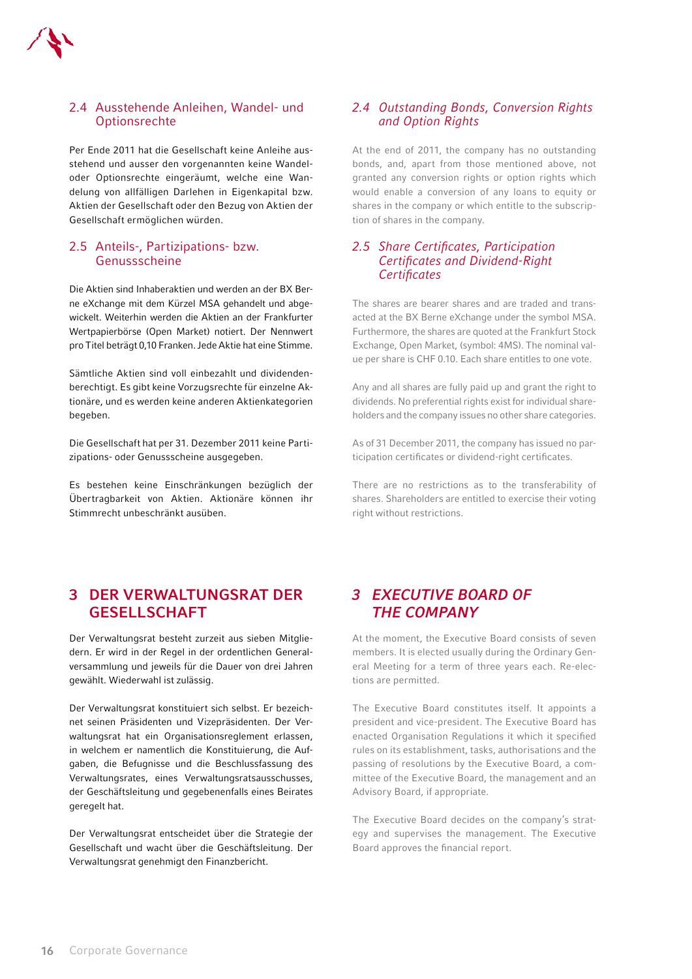

# 2.4 Ausstehende Anleihen, Wandel- und **Optionsrechte**

Per Ende 2011 hat die Gesellschaft keine Anleihe ausstehend und ausser den vorgenannten keine Wandeloder Optionsrechte eingeräumt, welche eine Wandelung von allfälligen Darlehen in Eigenkapital bzw. Aktien der Gesellschaft oder den Bezug von Aktien der Gesellschaft ermöglichen würden.

#### 2.5 Anteils-, Partizipations- bzw. Genussscheine

Die Aktien sind Inhaberaktien und werden an der BX Berne eXchange mit dem Kürzel MSA gehandelt und abgewickelt. Weiterhin werden die Aktien an der Frankfurter Wertpapierbörse (Open Market) notiert. Der Nennwert pro Titel beträgt 0,10 Franken. Jede Aktie hat eine Stimme.

Sämtliche Aktien sind voll einbezahlt und dividendenberechtigt. Es gibt keine Vorzugsrechte für einzelne Aktionäre, und es werden keine anderen Aktienkategorien begeben.

Die Gesellschaft hat per 31. Dezember 2011 keine Partizipations- oder Genussscheine ausgegeben.

Es bestehen keine Einschränkungen bezüglich der Übertragbarkeit von Aktien. Aktionäre können ihr Stimmrecht unbeschränkt ausüben.

# 2.4 Outstanding Bonds, Conversion Rights and Option Rights

At the end of 2011, the company has no outstanding bonds, and, apart from those mentioned above, not granted any conversion rights or option rights which would enable a conversion of any loans to equity or shares in the company or which entitle to the subscription of shares in the company.

### 2.5 Share Certificates, Participation Certificates and Dividend-Right **Certificates**

The shares are bearer shares and are traded and transacted at the BX Berne eXchange under the symbol MSA. Furthermore, the shares are quoted at the Frankfurt Stock Exchange, Open Market, (symbol: 4MS). The nominal value per share is CHF 0.10. Each share entitles to one vote.

Any and all shares are fully paid up and grant the right to dividends. No preferential rights exist for individual shareholders and the company issues no other share categories.

As of 31 December 2011, the company has issued no participation certificates or dividend-right certificates.

There are no restrictions as to the transferability of shares. Shareholders are entitled to exercise their voting right without restrictions.

# 3 DER VERWALTUNGSRAT DER GESELLSCHAFT

Der Verwaltungsrat besteht zurzeit aus sieben Mitgliedern. Er wird in der Regel in der ordentlichen Generalversammlung und jeweils für die Dauer von drei Jahren gewählt. Wiederwahl ist zulässig.

Der Verwaltungsrat konstituiert sich selbst. Er bezeichnet seinen Präsidenten und Vizepräsidenten. Der Verwaltungsrat hat ein Organisationsreglement erlassen, in welchem er namentlich die Konstituierung, die Aufgaben, die Befugnisse und die Beschlussfassung des Verwaltungsrates, eines Verwaltungsratsausschusses, der Geschäftsleitung und gegebenenfalls eines Beirates geregelt hat.

Der Verwaltungsrat entscheidet über die Strategie der Gesellschaft und wacht über die Geschäftsleitung. Der Verwaltungsrat genehmigt den Finanzbericht.

# 3 EXECUTIVE BOARD OF THE COMPANY

At the moment, the Executive Board consists of seven members. It is elected usually during the Ordinary General Meeting for a term of three years each. Re-elections are permitted.

The Executive Board constitutes itself. It appoints a president and vice-president. The Executive Board has enacted Organisation Regulations it which it specified rules on its establishment, tasks, authorisations and the passing of resolutions by the Executive Board, a committee of the Executive Board, the management and an Advisory Board, if appropriate.

The Executive Board decides on the company's strategy and supervises the management. The Executive Board approves the financial report.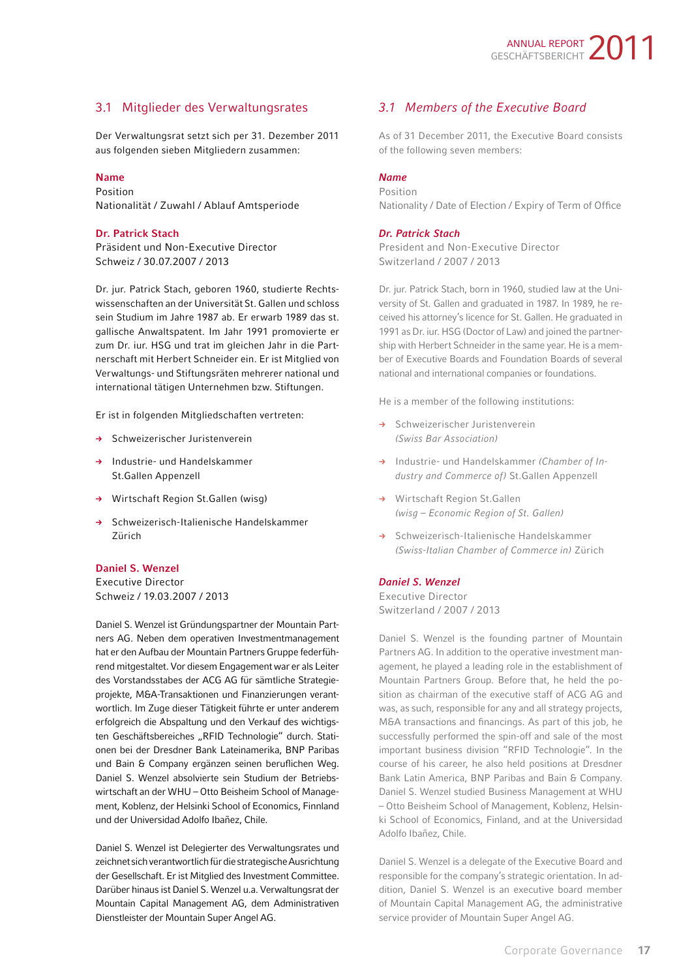# 3.1 Mitglieder des Verwaltungsrates

Der Verwaltungsrat setzt sich per 31. Dezember 2011 aus folgenden sieben Mitgliedern zusammen:

#### Name

Position Nationalität / Zuwahl / Ablauf Amtsperiode

#### Dr. Patrick Stach

Präsident und Non-Executive Director Schweiz / 30.07.2007 / 2013

Dr. jur. Patrick Stach, geboren 1960, studierte Rechtswissenschaften an der Universität St. Gallen und schloss sein Studium im Jahre 1987 ab. Er erwarb 1989 das st. gallische Anwaltspatent. Im Jahr 1991 promovierte er zum Dr. iur. HSG und trat im gleichen Jahr in die Partnerschaft mit Herbert Schneider ein. Er ist Mitglied von Verwaltungs- und Stiftungsräten mehrerer national und international tätigen Unternehmen bzw. Stiftungen.

Er ist in folgenden Mitgliedschaften vertreten:

- U Schweizerischer Juristenverein
- Industrie- und Handelskammer St.Gallen Appenzell
- $\rightarrow$  Wirtschaft Region St.Gallen (wisg)
- Schweizerisch-Italienische Handelskammer Zürich

#### Daniel S. Wenzel

Executive Director Schweiz / 19.03.2007 / 2013

Daniel S. Wenzel ist Gründungspartner der Mountain Partners AG. Neben dem operativen Investmentmanagement hat er den Aufbau der Mountain Partners Gruppe federführend mitgestaltet. Vor diesem Engagement war er als Leiter des Vorstandsstabes der ACG AG für sämtliche Strategieprojekte, M&A-Transaktionen und Finanzierungen verantwortlich. Im Zuge dieser Tätigkeit führte er unter anderem erfolgreich die Abspaltung und den Verkauf des wichtigsten Geschäftsbereiches "RFID Technologie" durch. Stationen bei der Dresdner Bank Lateinamerika, BNP Paribas und Bain & Company ergänzen seinen beruflichen Weg. Daniel S. Wenzel absolvierte sein Studium der Betriebswirtschaft an der WHU – Otto Beisheim School of Management, Koblenz, der Helsinki School of Economics, Finnland und der Universidad Adolfo Ibañez, Chile.

Daniel S. Wenzel ist Delegierter des Verwaltungsrates und zeichnet sich verantwortlich für die strategische Ausrichtung der Gesellschaft. Er ist Mitglied des Investment Committee. Darüber hinaus ist Daniel S. Wenzel u.a. Verwaltungsrat der Mountain Capital Management AG, dem Administrativen Dienstleister der Mountain Super Angel AG.

# 3.1 Members of the Executive Board

As of 31 December 2011, the Executive Board consists of the following seven members:

#### Name

Position Nationality / Date of Election / Expiry of Term of Office

#### Dr. Patrick Stach

President and Non-Executive Director Switzerland / 2007 / 2013

Dr. jur. Patrick Stach, born in 1960, studied law at the University of St. Gallen and graduated in 1987. In 1989, he received his attorney's licence for St. Gallen. He graduated in 1991 as Dr. iur. HSG (Doctor of Law) and joined the partnership with Herbert Schneider in the same year. He is a member of Executive Boards and Foundation Boards of several national and international companies or foundations.

He is a member of the following institutions:

- $\rightarrow$  Schweizerischer Juristenverein (Swiss Bar Association)
- $\rightarrow$  Industrie- und Handelskammer (Chamber of Industry and Commerce of) St.Gallen Appenzell
- $\rightarrow$  Wirtschaft Region St.Gallen (wisg – Economic Region of St. Gallen)
- $\rightarrow$  Schweizerisch-Italienische Handelskammer (Swiss-Italian Chamber of Commerce in) Zürich

#### Daniel S. Wenzel

Executive Director Switzerland / 2007 / 2013

Daniel S. Wenzel is the founding partner of Mountain Partners AG. In addition to the operative investment management, he played a leading role in the establishment of Mountain Partners Group. Before that, he held the position as chairman of the executive staff of ACG AG and was, as such, responsible for any and all strategy projects, M&A transactions and financings. As part of this job, he successfully performed the spin-off and sale of the most important business division "RFID Technologie". In the course of his career, he also held positions at Dresdner Bank Latin America, BNP Paribas and Bain & Company. Daniel S. Wenzel studied Business Management at WHU – Otto Beisheim School of Management, Koblenz, Helsinki School of Economics, Finland, and at the Universidad Adolfo Ibañez, Chile.

Daniel S. Wenzel is a delegate of the Executive Board and responsible for the company's strategic orientation. In addition, Daniel S. Wenzel is an executive board member of Mountain Capital Management AG, the administrative service provider of Mountain Super Angel AG.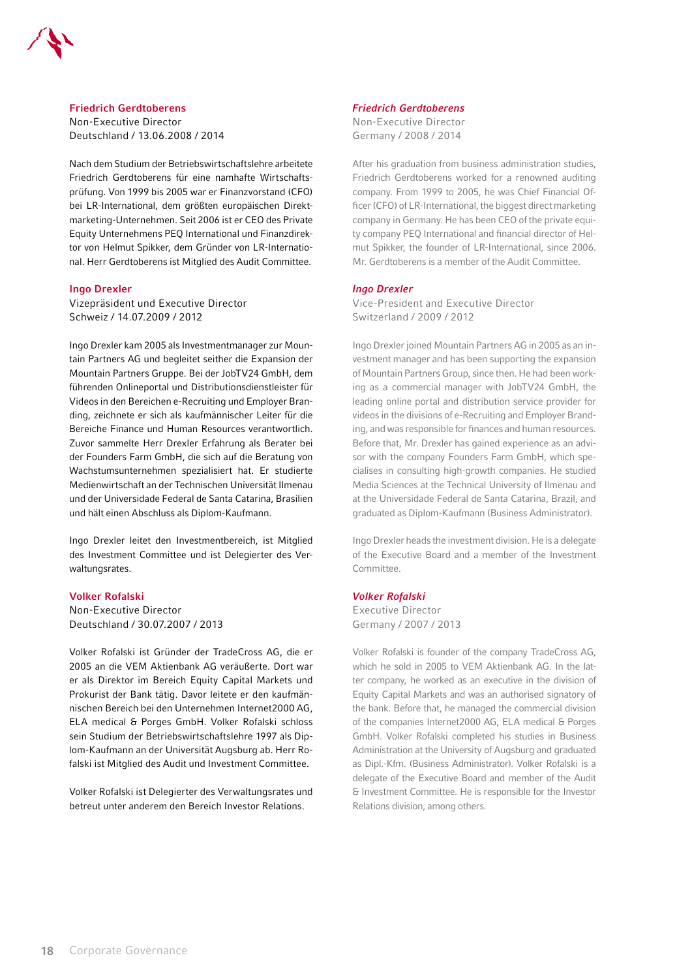

#### Friedrich Gerdtoberens

Non-Executive Director Deutschland / 13.06.2008 / 2014

Nach dem Studium der Betriebswirtschaftslehre arbeitete Friedrich Gerdtoberens für eine namhafte Wirtschaftsprüfung. Von 1999 bis 2005 war er Finanzvorstand (CFO) bei LR-International, dem größten europäischen Direktmarketing-Unternehmen. Seit 2006 ist er CEO des Private Equity Unternehmens PEQ International und Finanzdirektor von Helmut Spikker, dem Gründer von LR-International. Herr Gerdtoberens ist Mitglied des Audit Committee.

#### Ingo Drexler

Vizepräsident und Executive Director Schweiz / 14.07.2009 / 2012

Ingo Drexler kam 2005 als Investmentmanager zur Mountain Partners AG und begleitet seither die Expansion der Mountain Partners Gruppe. Bei der JobTV24 GmbH, dem führenden Onlineportal und Distributionsdienstleister für Videos in den Bereichen e-Recruiting und Employer Branding, zeichnete er sich als kaufmännischer Leiter für die Bereiche Finance und Human Resources verantwortlich. Zuvor sammelte Herr Drexler Erfahrung als Berater bei der Founders Farm GmbH, die sich auf die Beratung von Wachstumsunternehmen spezialisiert hat. Er studierte Medienwirtschaft an der Technischen Universität Ilmenau und der Universidade Federal de Santa Catarina, Brasilien und hält einen Abschluss als Diplom-Kaufmann.

Ingo Drexler leitet den Investmentbereich, ist Mitglied des Investment Committee und ist Delegierter des Verwaltungsrates.

#### Volker Rofalski

Non-Executive Director Deutschland / 30.07.2007 / 2013

Volker Rofalski ist Gründer der TradeCross AG, die er 2005 an die VEM Aktienbank AG veräußerte. Dort war er als Direktor im Bereich Equity Capital Markets und Prokurist der Bank tätig. Davor leitete er den kaufmännischen Bereich bei den Unternehmen Internet2000 AG, ELA medical & Porges GmbH. Volker Rofalski schloss sein Studium der Betriebswirtschaftslehre 1997 als Diplom-Kaufmann an der Universität Augsburg ab. Herr Rofalski ist Mitglied des Audit und Investment Committee.

Volker Rofalski ist Delegierter des Verwaltungsrates und betreut unter anderem den Bereich Investor Relations.

#### Friedrich Gerdtoberens

Non-Executive Director Germany / 2008 / 2014

After his graduation from business administration studies, Friedrich Gerdtoberens worked for a renowned auditing company. From 1999 to 2005, he was Chief Financial Officer (CFO) of LR-International, the biggest direct marketing company in Germany. He has been CEO of the private equity company PEQ International and financial director of Helmut Spikker, the founder of LR-International, since 2006. Mr. Gerdtoberens is a member of the Audit Committee.

#### Ingo Drexler

Vice-President and Executive Director Switzerland / 2009 / 2012

Ingo Drexler joined Mountain Partners AG in 2005 as an investment manager and has been supporting the expansion of Mountain Partners Group, since then. He had been working as a commercial manager with JobTV24 GmbH, the leading online portal and distribution service provider for videos in the divisions of e-Recruiting and Employer Branding, and was responsible for finances and human resources. Before that, Mr. Drexler has gained experience as an advisor with the company Founders Farm GmbH, which specialises in consulting high-growth companies. He studied Media Sciences at the Technical University of Ilmenau and at the Universidade Federal de Santa Catarina, Brazil, and graduated as Diplom-Kaufmann (Business Administrator).

Ingo Drexler heads the investment division. He is a delegate of the Executive Board and a member of the Investment Committee.

#### Volker Rofalski

Executive Director Germany / 2007 / 2013

Volker Rofalski is founder of the company TradeCross AG, which he sold in 2005 to VEM Aktienbank AG. In the latter company, he worked as an executive in the division of Equity Capital Markets and was an authorised signatory of the bank. Before that, he managed the commercial division of the companies Internet2000 AG, ELA medical & Porges GmbH. Volker Rofalski completed his studies in Business Administration at the University of Augsburg and graduated as Dipl.-Kfm. (Business Administrator). Volker Rofalski is a delegate of the Executive Board and member of the Audit & Investment Committee. He is responsible for the Investor Relations division, among others.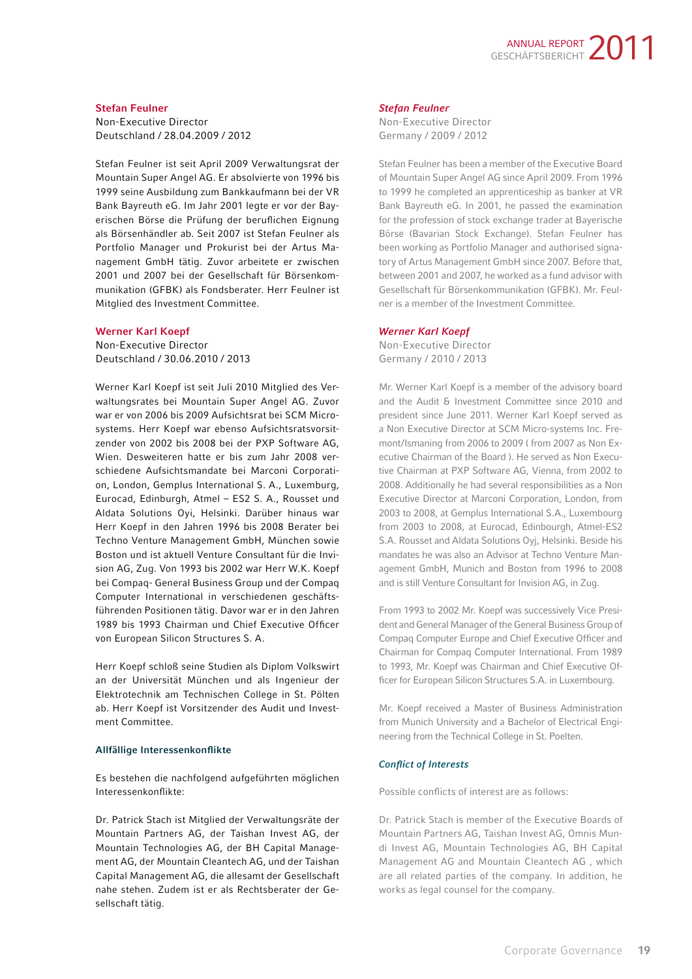#### Stefan Feulner

Non-Executive Director Deutschland / 28.04.2009 / 2012

Stefan Feulner ist seit April 2009 Verwaltungsrat der Mountain Super Angel AG. Er absolvierte von 1996 bis 1999 seine Ausbildung zum Bankkaufmann bei der VR Bank Bayreuth eG. Im Jahr 2001 legte er vor der Bayerischen Börse die Prüfung der beruflichen Eignung als Börsenhändler ab. Seit 2007 ist Stefan Feulner als Portfolio Manager und Prokurist bei der Artus Management GmbH tätig. Zuvor arbeitete er zwischen 2001 und 2007 bei der Gesellschaft für Börsenkommunikation (GFBK) als Fondsberater. Herr Feulner ist Mitglied des Investment Committee.

#### Werner Karl Koepf

Non-Executive Director Deutschland / 30.06.2010 / 2013

Werner Karl Koepf ist seit Juli 2010 Mitglied des Verwaltungsrates bei Mountain Super Angel AG. Zuvor war er von 2006 bis 2009 Aufsichtsrat bei SCM Microsystems. Herr Koepf war ebenso Aufsichtsratsvorsitzender von 2002 bis 2008 bei der PXP Software AG, Wien. Desweiteren hatte er bis zum Jahr 2008 verschiedene Aufsichtsmandate bei Marconi Corporation, London, Gemplus International S. A., Luxemburg, Eurocad, Edinburgh, Atmel – ES2 S. A., Rousset und Aldata Solutions Oyi, Helsinki. Darüber hinaus war Herr Koepf in den Jahren 1996 bis 2008 Berater bei Techno Venture Management GmbH, München sowie Boston und ist aktuell Venture Consultant für die Invision AG, Zug. Von 1993 bis 2002 war Herr W.K. Koepf bei Compaq- General Business Group und der Compaq Computer International in verschiedenen geschäftsführenden Positionen tätig. Davor war er in den Jahren 1989 bis 1993 Chairman und Chief Executive Officer von European Silicon Structures S. A.

Herr Koepf schloß seine Studien als Diplom Volkswirt an der Universität München und als Ingenieur der Elektrotechnik am Technischen College in St. Pölten ab. Herr Koepf ist Vorsitzender des Audit und Investment Committee.

#### Allfällige Interessenkonflikte

Es bestehen die nachfolgend aufgeführten möglichen Interessenkonflikte:

Dr. Patrick Stach ist Mitglied der Verwaltungsräte der Mountain Partners AG, der Taishan Invest AG, der Mountain Technologies AG, der BH Capital Management AG, der Mountain Cleantech AG, und der Taishan Capital Management AG, die allesamt der Gesellschaft nahe stehen. Zudem ist er als Rechtsberater der Gesellschaft tätig.

#### Stefan Feulner

Non-Executive Director Germany / 2009 / 2012

Stefan Feulner has been a member of the Executive Board of Mountain Super Angel AG since April 2009. From 1996 to 1999 he completed an apprenticeship as banker at VR Bank Bayreuth eG. In 2001, he passed the examination for the profession of stock exchange trader at Bayerische Börse (Bavarian Stock Exchange). Stefan Feulner has been working as Portfolio Manager and authorised signatory of Artus Management GmbH since 2007. Before that, between 2001 and 2007, he worked as a fund advisor with Gesellschaft für Börsenkommunikation (GFBK). Mr. Feulner is a member of the Investment Committee.

#### Werner Karl Koepf

Non-Executive Director Germany / 2010 / 2013

Mr. Werner Karl Koepf is a member of the advisory board and the Audit & Investment Committee since 2010 and president since June 2011. Werner Karl Koepf served as a Non Executive Director at SCM Micro-systems Inc. Fremont/Ismaning from 2006 to 2009 ( from 2007 as Non Executive Chairman of the Board ). He served as Non Executive Chairman at PXP Software AG, Vienna, from 2002 to 2008. Additionally he had several responsibilities as a Non Executive Director at Marconi Corporation, London, from 2003 to 2008, at Gemplus International S.A., Luxembourg from 2003 to 2008, at Eurocad, Edinbourgh, Atmel-ES2 S.A. Rousset and Aldata Solutions Oyj, Helsinki. Beside his mandates he was also an Advisor at Techno Venture Management GmbH, Munich and Boston from 1996 to 2008 and is still Venture Consultant for Invision AG, in Zug.

From 1993 to 2002 Mr. Koepf was successively Vice President and General Manager of the General Business Group of Compaq Computer Europe and Chief Executive Officer and Chairman for Compaq Computer International. From 1989 to 1993, Mr. Koepf was Chairman and Chief Executive Officer for European Silicon Structures S.A. in Luxembourg.

Mr. Koepf received a Master of Business Administration from Munich University and a Bachelor of Electrical Engineering from the Technical College in St. Poelten.

#### Conflict of Interests

Possible conflicts of interest are as follows:

Dr. Patrick Stach is member of the Executive Boards of Mountain Partners AG, Taishan Invest AG, Omnis Mundi Invest AG, Mountain Technologies AG, BH Capital Management AG and Mountain Cleantech AG , which are all related parties of the company. In addition, he works as legal counsel for the company.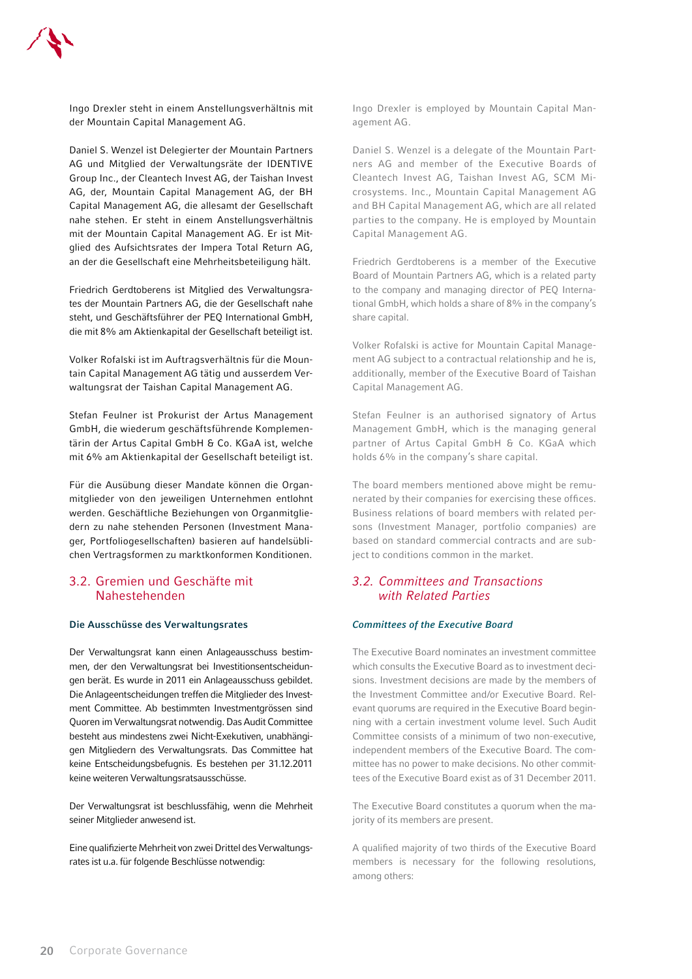

Ingo Drexler steht in einem Anstellungsverhältnis mit der Mountain Capital Management AG.

Daniel S. Wenzel ist Delegierter der Mountain Partners AG und Mitglied der Verwaltungsräte der IDENTIVE Group Inc., der Cleantech Invest AG, der Taishan Invest AG, der, Mountain Capital Management AG, der BH Capital Management AG, die allesamt der Gesellschaft nahe stehen. Er steht in einem Anstellungsverhältnis mit der Mountain Capital Management AG. Er ist Mitglied des Aufsichtsrates der Impera Total Return AG, an der die Gesellschaft eine Mehrheitsbeteiligung hält.

Friedrich Gerdtoberens ist Mitglied des Verwaltungsrates der Mountain Partners AG, die der Gesellschaft nahe steht, und Geschäftsführer der PEQ International GmbH, die mit 8% am Aktienkapital der Gesellschaft beteiligt ist.

Volker Rofalski ist im Auftragsverhältnis für die Mountain Capital Management AG tätig und ausserdem Verwaltungsrat der Taishan Capital Management AG.

Stefan Feulner ist Prokurist der Artus Management GmbH, die wiederum geschäftsführende Komplementärin der Artus Capital GmbH & Co. KGaA ist, welche mit 6% am Aktienkapital der Gesellschaft beteiligt ist.

Für die Ausübung dieser Mandate können die Organmitglieder von den jeweiligen Unternehmen entlohnt werden. Geschäftliche Beziehungen von Organmitgliedern zu nahe stehenden Personen (Investment Manager, Portfoliogesellschaften) basieren auf handelsüblichen Vertragsformen zu marktkonformen Konditionen.

### 3.2. Gremien und Geschäfte mit Nahestehenden

#### Die Ausschüsse des Verwaltungsrates

Der Verwaltungsrat kann einen Anlageausschuss bestimmen, der den Verwaltungsrat bei Investitionsentscheidungen berät. Es wurde in 2011 ein Anlageausschuss gebildet. Die Anlageentscheidungen treffen die Mitglieder des Investment Committee. Ab bestimmten Investmentgrössen sind Quoren im Verwaltungsrat notwendig. Das Audit Committee besteht aus mindestens zwei Nicht-Exekutiven, unabhängigen Mitgliedern des Verwaltungsrats. Das Committee hat keine Entscheidungsbefugnis. Es bestehen per 31.12.2011 keine weiteren Verwaltungsratsausschüsse.

Der Verwaltungsrat ist beschlussfähig, wenn die Mehrheit seiner Mitglieder anwesend ist.

Eine qualifizierte Mehrheit von zwei Drittel des Verwaltungsrates ist u.a. für folgende Beschlüsse notwendig:

Ingo Drexler is employed by Mountain Capital Management AG.

Daniel S. Wenzel is a delegate of the Mountain Partners AG and member of the Executive Boards of Cleantech Invest AG, Taishan Invest AG, SCM Microsystems. Inc., Mountain Capital Management AG and BH Capital Management AG, which are all related parties to the company. He is employed by Mountain Capital Management AG.

Friedrich Gerdtoberens is a member of the Executive Board of Mountain Partners AG, which is a related party to the company and managing director of PEQ International GmbH, which holds a share of 8% in the company's share capital.

Volker Rofalski is active for Mountain Capital Management AG subject to a contractual relationship and he is, additionally, member of the Executive Board of Taishan Capital Management AG.

Stefan Feulner is an authorised signatory of Artus Management GmbH, which is the managing general partner of Artus Capital GmbH & Co. KGaA which holds 6% in the company's share capital.

The board members mentioned above might be remunerated by their companies for exercising these offices. Business relations of board members with related persons (Investment Manager, portfolio companies) are based on standard commercial contracts and are subject to conditions common in the market.

# 3.2. Committees and Transactions with Related Parties

#### Committees of the Executive Board

The Executive Board nominates an investment committee which consults the Executive Board as to investment decisions. Investment decisions are made by the members of the Investment Committee and/or Executive Board. Relevant quorums are required in the Executive Board beginning with a certain investment volume level. Such Audit Committee consists of a minimum of two non-executive, independent members of the Executive Board. The committee has no power to make decisions. No other committees of the Executive Board exist as of 31 December 2011.

The Executive Board constitutes a quorum when the majority of its members are present.

A qualified majority of two thirds of the Executive Board members is necessary for the following resolutions, among others: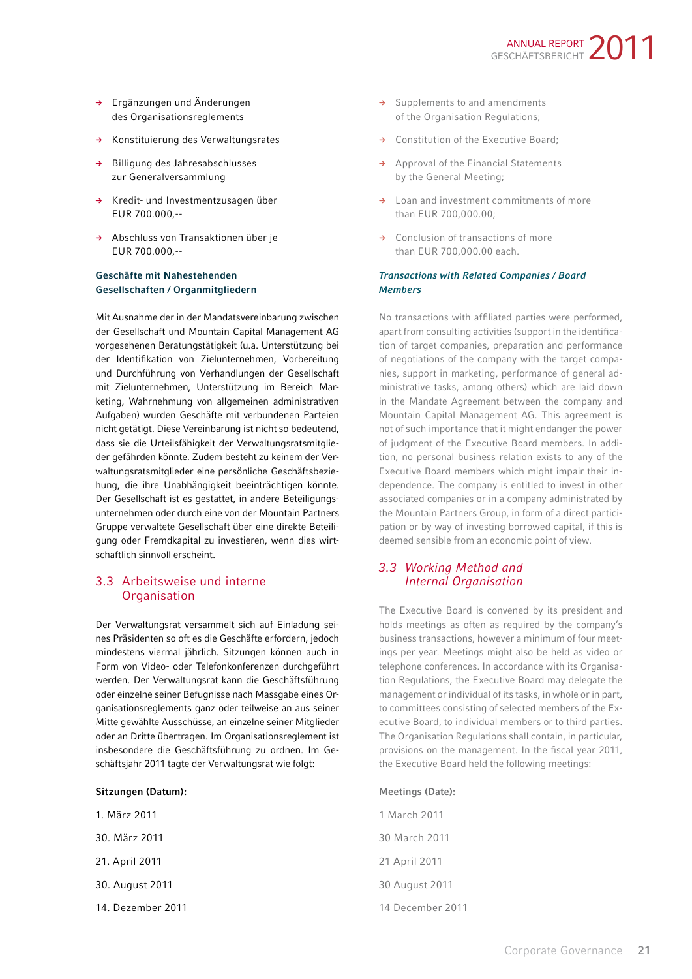- $\rightarrow$  Ergänzungen und Änderungen des Organisationsreglements
- $\rightarrow$  Konstituierung des Verwaltungsrates
- $\rightarrow$  Billigung des Jahresabschlusses zur Generalversammlung
- $\rightarrow$  Kredit- und Investmentzusagen über EUR 700.000,--
- $\rightarrow$  Abschluss von Transaktionen über je EUR 700.000,--

#### Geschäfte mit Nahestehenden Gesellschaften / Organmitgliedern

Mit Ausnahme der in der Mandatsvereinbarung zwischen der Gesellschaft und Mountain Capital Management AG vorgesehenen Beratungstätigkeit (u.a. Unterstützung bei der Identifikation von Zielunternehmen, Vorbereitung und Durchführung von Verhandlungen der Gesellschaft mit Zielunternehmen, Unterstützung im Bereich Marketing, Wahrnehmung von allgemeinen administrativen Aufgaben) wurden Geschäfte mit verbundenen Parteien nicht getätigt. Diese Vereinbarung ist nicht so bedeutend, dass sie die Urteilsfähigkeit der Verwaltungsratsmitglieder gefährden könnte. Zudem besteht zu keinem der Verwaltungsratsmitglieder eine persönliche Geschäftsbeziehung, die ihre Unabhängigkeit beeinträchtigen könnte. Der Gesellschaft ist es gestattet, in andere Beteiligungsunternehmen oder durch eine von der Mountain Partners Gruppe verwaltete Gesellschaft über eine direkte Beteiligung oder Fremdkapital zu investieren, wenn dies wirtschaftlich sinnvoll erscheint.

### 3.3 Arbeitsweise und interne **Organisation**

Der Verwaltungsrat versammelt sich auf Einladung seines Präsidenten so oft es die Geschäfte erfordern, jedoch mindestens viermal jährlich. Sitzungen können auch in Form von Video- oder Telefonkonferenzen durchgeführt werden. Der Verwaltungsrat kann die Geschäftsführung oder einzelne seiner Befugnisse nach Massgabe eines Organisationsreglements ganz oder teilweise an aus seiner Mitte gewählte Ausschüsse, an einzelne seiner Mitglieder oder an Dritte übertragen. Im Organisationsreglement ist insbesondere die Geschäftsführung zu ordnen. Im Geschäftsjahr 2011 tagte der Verwaltungsrat wie folgt:

#### Sitzungen (Datum):

- 1. März 2011 30. März 2011 21. April 2011
- 30. August 2011
- 14. Dezember 2011
- $\rightarrow$  Supplements to and amendments of the Organisation Regulations;
- $\rightarrow$  Constitution of the Executive Board;
- $\rightarrow$  Approval of the Financial Statements by the General Meeting;
- $\rightarrow$  Loan and investment commitments of more than EUR 700,000.00;
- $\rightarrow$  Conclusion of transactions of more than EUR 700,000.00 each.

#### Transactions with Related Companies / Board Members

No transactions with affiliated parties were performed, apart from consulting activities (support in the identification of target companies, preparation and performance of negotiations of the company with the target companies, support in marketing, performance of general administrative tasks, among others) which are laid down in the Mandate Agreement between the company and Mountain Capital Management AG. This agreement is not of such importance that it might endanger the power of judgment of the Executive Board members. In addition, no personal business relation exists to any of the Executive Board members which might impair their independence. The company is entitled to invest in other associated companies or in a company administrated by the Mountain Partners Group, in form of a direct participation or by way of investing borrowed capital, if this is deemed sensible from an economic point of view.

#### 3.3 Working Method and Internal Organisation

The Executive Board is convened by its president and holds meetings as often as required by the company's business transactions, however a minimum of four meetings per year. Meetings might also be held as video or telephone conferences. In accordance with its Organisation Regulations, the Executive Board may delegate the management or individual of its tasks, in whole or in part, to committees consisting of selected members of the Executive Board, to individual members or to third parties. The Organisation Regulations shall contain, in particular, provisions on the management. In the fiscal year 2011, the Executive Board held the following meetings:

#### Meetings (Date):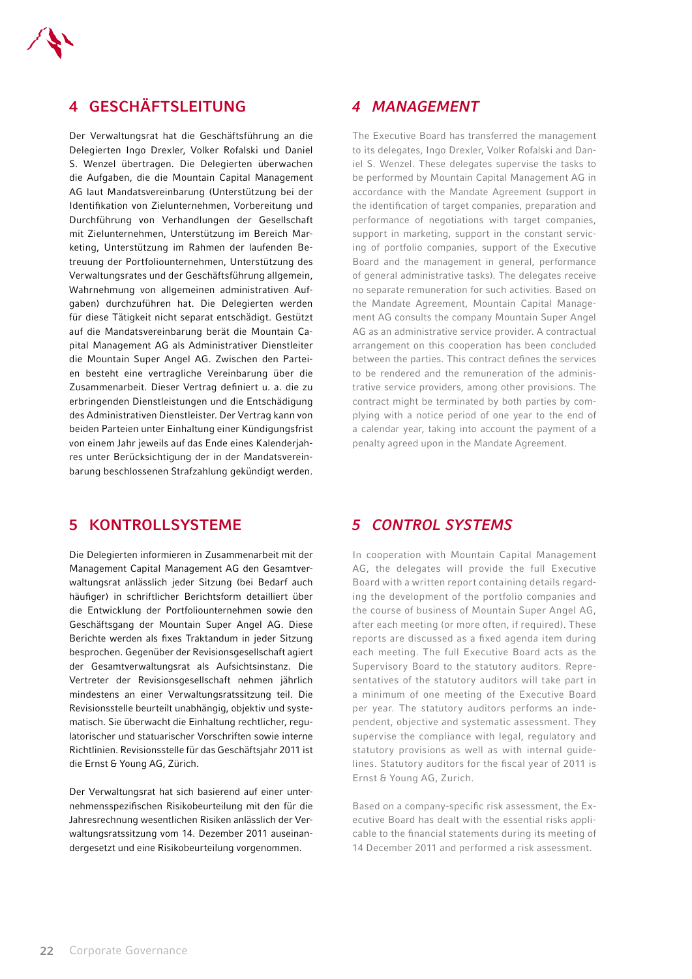

# 4 GESCHÄFTSLEITUNG

Der Verwaltungsrat hat die Geschäftsführung an die Delegierten Ingo Drexler, Volker Rofalski und Daniel S. Wenzel übertragen. Die Delegierten überwachen die Aufgaben, die die Mountain Capital Management AG laut Mandatsvereinbarung (Unterstützung bei der Identifikation von Zielunternehmen, Vorbereitung und Durchführung von Verhandlungen der Gesellschaft mit Zielunternehmen, Unterstützung im Bereich Marketing, Unterstützung im Rahmen der laufenden Betreuung der Portfoliounternehmen, Unterstützung des Verwaltungsrates und der Geschäftsführung allgemein, Wahrnehmung von allgemeinen administrativen Aufgaben) durchzuführen hat. Die Delegierten werden für diese Tätigkeit nicht separat entschädigt. Gestützt auf die Mandatsvereinbarung berät die Mountain Capital Management AG als Administrativer Dienstleiter die Mountain Super Angel AG. Zwischen den Parteien besteht eine vertragliche Vereinbarung über die Zusammenarbeit. Dieser Vertrag definiert u. a. die zu erbringenden Dienstleistungen und die Entschädigung des Administrativen Dienstleister. Der Vertrag kann von beiden Parteien unter Einhaltung einer Kündigungsfrist von einem Jahr jeweils auf das Ende eines Kalenderjahres unter Berücksichtigung der in der Mandatsvereinbarung beschlossenen Strafzahlung gekündigt werden.

# 5 KONTROLLSYSTEME

Die Delegierten informieren in Zusammenarbeit mit der Management Capital Management AG den Gesamtverwaltungsrat anlässlich jeder Sitzung (bei Bedarf auch häufiger) in schriftlicher Berichtsform detailliert über die Entwicklung der Portfoliounternehmen sowie den Geschäftsgang der Mountain Super Angel AG. Diese Berichte werden als fixes Traktandum in jeder Sitzung besprochen. Gegenüber der Revisionsgesellschaft agiert der Gesamtverwaltungsrat als Aufsichtsinstanz. Die Vertreter der Revisionsgesellschaft nehmen jährlich mindestens an einer Verwaltungsratssitzung teil. Die Revisionsstelle beurteilt unabhängig, objektiv und systematisch. Sie überwacht die Einhaltung rechtlicher, regulatorischer und statuarischer Vorschriften sowie interne Richtlinien. Revisionsstelle für das Geschäftsjahr 2011 ist die Ernst & Young AG, Zürich.

Der Verwaltungsrat hat sich basierend auf einer unternehmensspezifischen Risikobeurteilung mit den für die Jahresrechnung wesentlichen Risiken anlässlich der Verwaltungsratssitzung vom 14. Dezember 2011 auseinandergesetzt und eine Risikobeurteilung vorgenommen.

# 4 MANAGEMENT

The Executive Board has transferred the management to its delegates, Ingo Drexler, Volker Rofalski and Daniel S. Wenzel. These delegates supervise the tasks to be performed by Mountain Capital Management AG in accordance with the Mandate Agreement (support in the identification of target companies, preparation and performance of negotiations with target companies, support in marketing, support in the constant servicing of portfolio companies, support of the Executive Board and the management in general, performance of general administrative tasks). The delegates receive no separate remuneration for such activities. Based on the Mandate Agreement, Mountain Capital Management AG consults the company Mountain Super Angel AG as an administrative service provider. A contractual arrangement on this cooperation has been concluded between the parties. This contract defines the services to be rendered and the remuneration of the administrative service providers, among other provisions. The contract might be terminated by both parties by complying with a notice period of one year to the end of a calendar year, taking into account the payment of a penalty agreed upon in the Mandate Agreement.

# 5 CONTROL SYSTEMS

In cooperation with Mountain Capital Management AG, the delegates will provide the full Executive Board with a written report containing details regarding the development of the portfolio companies and the course of business of Mountain Super Angel AG, after each meeting (or more often, if required). These reports are discussed as a fixed agenda item during each meeting. The full Executive Board acts as the Supervisory Board to the statutory auditors. Representatives of the statutory auditors will take part in a minimum of one meeting of the Executive Board per year. The statutory auditors performs an independent, objective and systematic assessment. They supervise the compliance with legal, regulatory and statutory provisions as well as with internal guidelines. Statutory auditors for the fiscal year of 2011 is Ernst & Young AG, Zurich.

Based on a company-specific risk assessment, the Executive Board has dealt with the essential risks applicable to the financial statements during its meeting of 14 December 2011 and performed a risk assessment.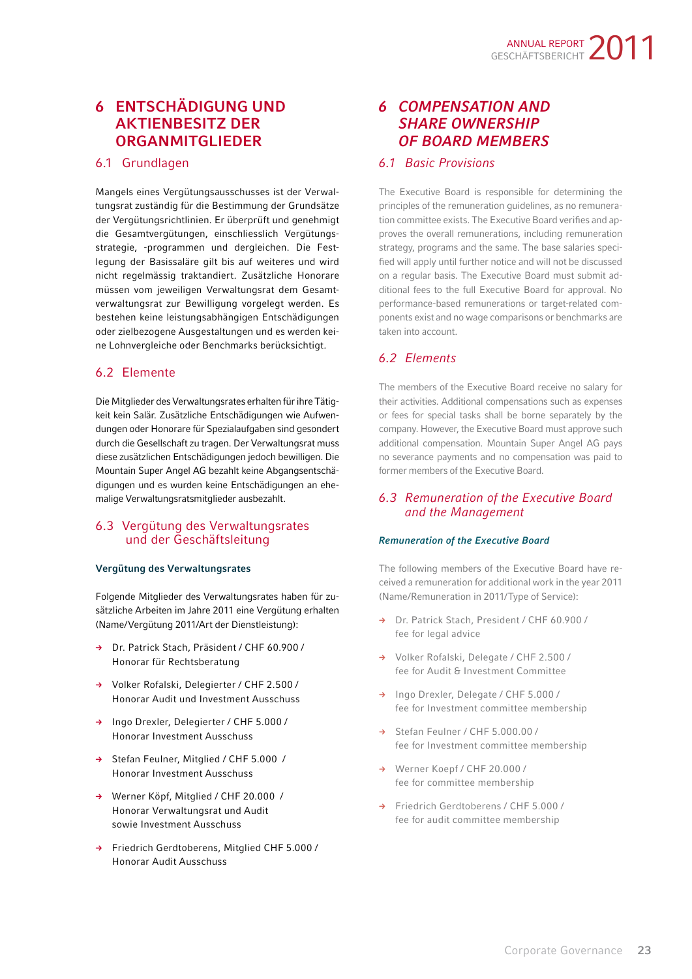# 6 ENTSCHÄDIGUNG UND AKTIENBESITZ DER ORGANMITGLIEDER

#### 6.1 Grundlagen

Mangels eines Vergütungsausschusses ist der Verwaltungsrat zuständig für die Bestimmung der Grundsätze der Vergütungsrichtlinien. Er überprüft und genehmigt die Gesamtvergütungen, einschliesslich Vergütungsstrategie, -programmen und dergleichen. Die Festlegung der Basissaläre gilt bis auf weiteres und wird nicht regelmässig traktandiert. Zusätzliche Honorare müssen vom jeweiligen Verwaltungsrat dem Gesamtverwaltungsrat zur Bewilligung vorgelegt werden. Es bestehen keine leistungsabhängigen Entschädigungen oder zielbezogene Ausgestaltungen und es werden keine Lohnvergleiche oder Benchmarks berücksichtigt.

### 6.2 Elemente

Die Mitglieder des Verwaltungsrates erhalten für ihre Tätigkeit kein Salär. Zusätzliche Entschädigungen wie Aufwendungen oder Honorare für Spezialaufgaben sind gesondert durch die Gesellschaft zu tragen. Der Verwaltungsrat muss diese zusätzlichen Entschädigungen jedoch bewilligen. Die Mountain Super Angel AG bezahlt keine Abgangsentschädigungen und es wurden keine Entschädigungen an ehemalige Verwaltungsratsmitglieder ausbezahlt.

### 6.3 Vergütung des Verwaltungsrates und der Geschäftsleitung

#### Vergütung des Verwaltungsrates

Folgende Mitglieder des Verwaltungsrates haben für zusätzliche Arbeiten im Jahre 2011 eine Vergütung erhalten (Name/Vergütung 2011/Art der Dienstleistung):

- → Dr. Patrick Stach, Präsident / CHF 60.900 / Honorar für Rechtsberatung
- → Volker Rofalski, Delegierter / CHF 2.500 / Honorar Audit und Investment Ausschuss
- → Ingo Drexler, Delegierter / CHF 5.000 / Honorar Investment Ausschuss
- → Stefan Feulner, Mitglied / CHF 5.000 / Honorar Investment Ausschuss
- → Werner Köpf, Mitglied / CHF 20.000 / Honorar Verwaltungsrat und Audit sowie Investment Ausschuss
- U Friedrich Gerdtoberens, Mitglied CHF 5.000 / Honorar Audit Ausschuss

# 6 COMPENSATION AND SHARE OWNERSHIP OF BOARD MEMBERS

### 6.1 Basic Provisions

The Executive Board is responsible for determining the principles of the remuneration guidelines, as no remuneration committee exists. The Executive Board verifies and approves the overall remunerations, including remuneration strategy, programs and the same. The base salaries specified will apply until further notice and will not be discussed on a regular basis. The Executive Board must submit additional fees to the full Executive Board for approval. No performance-based remunerations or target-related components exist and no wage comparisons or benchmarks are taken into account.

# 6.2 Elements

The members of the Executive Board receive no salary for their activities. Additional compensations such as expenses or fees for special tasks shall be borne separately by the company. However, the Executive Board must approve such additional compensation. Mountain Super Angel AG pays no severance payments and no compensation was paid to former members of the Executive Board.

### 6.3 Remuneration of the Executive Board and the Management

#### Remuneration of the Executive Board

The following members of the Executive Board have received a remuneration for additional work in the year 2011 (Name/Remuneration in 2011/Type of Service):

- → Dr. Patrick Stach, President / CHF 60.900 / fee for legal advice
- → Volker Rofalski, Delegate / CHF 2.500 / fee for Audit & Investment Committee
- → Ingo Drexler, Delegate / CHF 5.000 / fee for Investment committee membership
- → Stefan Feulner / CHF 5.000.00 / fee for Investment committee membership
- → Werner Koepf / CHF 20.000 / fee for committee membership
- → Friedrich Gerdtoberens / CHF 5.000 / fee for audit committee membership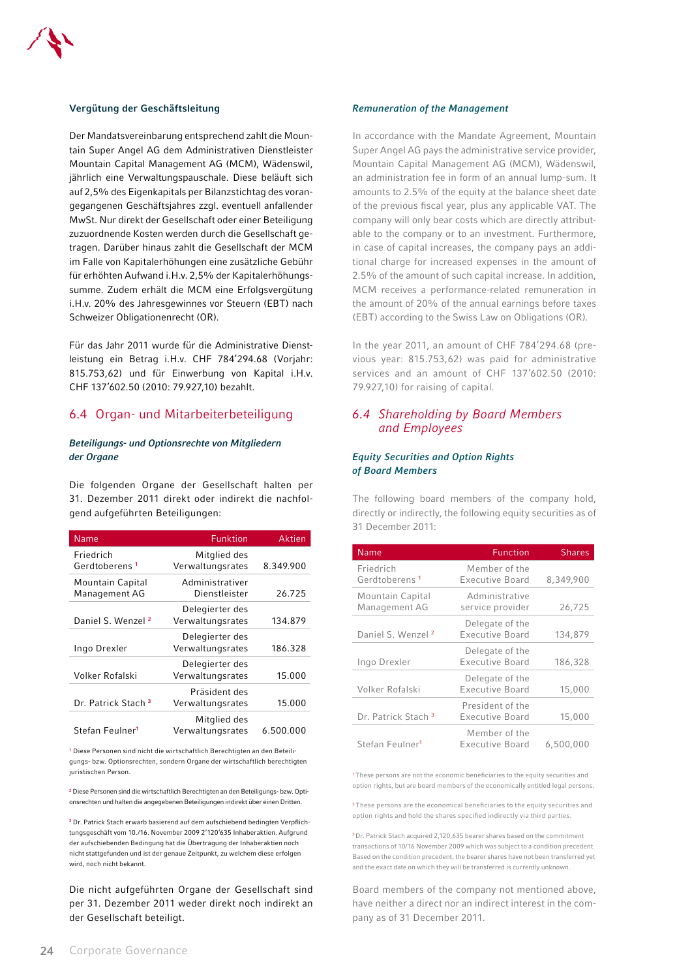

#### Vergütung der Geschäftsleitung

Der Mandatsvereinbarung entsprechend zahlt die Mountain Super Angel AG dem Administrativen Dienstleister Mountain Capital Management AG (MCM), Wädenswil, jährlich eine Verwaltungspauschale. Diese beläuft sich auf 2,5% des Eigenkapitals per Bilanzstichtag des vorangegangenen Geschäftsjahres zzgl. eventuell anfallender MwSt. Nur direkt der Gesellschaft oder einer Beteiligung zuzuordnende Kosten werden durch die Gesellschaft getragen. Darüber hinaus zahlt die Gesellschaft der MCM im Falle von Kapitalerhöhungen eine zusätzliche Gebühr für erhöhten Aufwand i.H.v. 2,5% der Kapitalerhöhungssumme. Zudem erhält die MCM eine Erfolgsvergütung i.H.v. 20% des Jahresgewinnes vor Steuern (EBT) nach Schweizer Obligationenrecht (OR).

Für das Jahr 2011 wurde für die Administrative Dienstleistung ein Betrag i.H.v. CHF 784'294.68 (Vorjahr: 815.753,62) und für Einwerbung von Kapital i.H.v. CHF 137'602.50 (2010: 79.927,10) bezahlt.

#### 6.4 Organ- und Mitarbeiterbeteiligung

#### Beteiligungs- und Optionsrechte von Mitgliedern der Organe

Die folgenden Organe der Gesellschaft halten per 31. Dezember 2011 direkt oder indirekt die nachfolgend aufgeführten Beteiligungen:

| Name                                   | <b>Funktion</b>                     | Aktien    |
|----------------------------------------|-------------------------------------|-----------|
| Friedrich<br>Gerdtoberens <sup>1</sup> | Mitglied des<br>Verwaltungsrates    | 8.349.900 |
| Mountain Capital<br>Management AG      | Administrativer<br>Dienstleister    | 26.725    |
| Daniel S. Wenzel <sup>2</sup>          | Delegierter des<br>Verwaltungsrates | 134.879   |
| Ingo Drexler                           | Delegierter des<br>Verwaltungsrates | 186.328   |
| Volker Rofalski                        | Delegierter des<br>Verwaltungsrates | 15.000    |
| Dr. Patrick Stach <sup>3</sup>         | Präsident des<br>Verwaltungsrates   | 15.000    |
| Stefan Feulner <sup>1</sup>            | Mitglied des<br>Verwaltungsrates    | 6.500.000 |

<sup>1</sup> Diese Personen sind nicht die wirtschaftlich Berechtigten an den Beteiligungs- bzw. Optionsrechten, sondern Organe der wirtschaftlich berechtigten juristischen Person.

<sup>2</sup> Diese Personen sind die wirtschaftlich Berechtigten an den Beteiligungs- bzw. Optionsrechten und halten die angegebenen Beteiligungen indirekt über einen Dritten.

<sup>3</sup> Dr. Patrick Stach erwarb basierend auf dem aufschiebend bedingten Verpflichtungsgeschäft vom 10./16. November 2009 2'120'635 Inhaberaktien. Aufgrund der aufschiebenden Bedingung hat die Übertragung der Inhaberaktien noch nicht stattgefunden und ist der genaue Zeitpunkt, zu welchem diese erfolgen wird, noch nicht bekannt.

Die nicht aufgeführten Organe der Gesellschaft sind per 31. Dezember 2011 weder direkt noch indirekt an der Gesellschaft beteiligt.

#### Remuneration of the Management

In accordance with the Mandate Agreement, Mountain Super Angel AG pays the administrative service provider, Mountain Capital Management AG (MCM), Wädenswil, an administration fee in form of an annual lump-sum. It amounts to 2.5% of the equity at the balance sheet date of the previous fiscal year, plus any applicable VAT. The company will only bear costs which are directly attributable to the company or to an investment. Furthermore, in case of capital increases, the company pays an additional charge for increased expenses in the amount of 2.5% of the amount of such capital increase. In addition, MCM receives a performance-related remuneration in the amount of 20% of the annual earnings before taxes (EBT) according to the Swiss Law on Obligations (OR).

In the year 2011, an amount of CHF 784'294.68 (previous year: 815.753,62) was paid for administrative services and an amount of CHF 137'602.50 (2010: 79.927,10) for raising of capital.

#### 6.4 Shareholding by Board Members and Employees

#### Equity Securities and Option Rights of Board Members

The following board members of the company hold, directly or indirectly, the following equity securities as of 31 December 2011:

| Name                                   | Function                            | <b>Shares</b> |
|----------------------------------------|-------------------------------------|---------------|
| Friedrich<br>Gerdtoberens <sup>1</sup> | Member of the<br>Executive Board    | 8,349,900     |
| Mountain Capital<br>Management AG      | Administrative<br>service provider  | 26,725        |
| Daniel S. Wenzel <sup>2</sup>          | Delegate of the<br>Executive Board  | 134,879       |
| Ingo Drexler                           | Delegate of the<br>Executive Board  | 186,328       |
| Volker Rofalski                        | Delegate of the<br>Executive Board  | 15,000        |
| Dr. Patrick Stach <sup>3</sup>         | President of the<br>Executive Board | 15,000        |
| Stefan Feulner <sup>1</sup>            | Member of the<br>Executive Board    | 6,500,000     |

<sup>1</sup>These persons are not the economic beneficiaries to the equity securities and option rights, but are board members of the economically entitled legal persons.

<sup>2</sup>These persons are the economical beneficiaries to the equity securities and option rights and hold the shares specified indirectly via third parties.

<sup>3</sup> Dr. Patrick Stach acquired 2,120,635 bearer shares based on the commitment transactions of 10/16 November 2009 which was subject to a condition precedent. Based on the condition precedent, the bearer shares have not been transferred yet and the exact date on which they will be transferred is currently unknown.

Board members of the company not mentioned above, have neither a direct nor an indirect interest in the company as of 31 December 2011.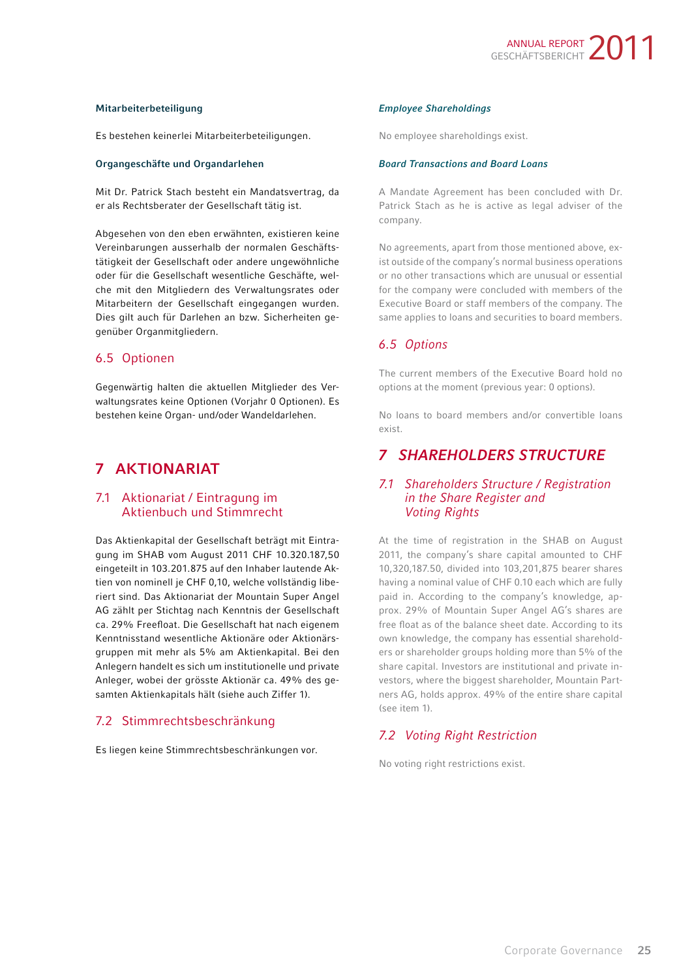#### Mitarbeiterbeteiligung

Es bestehen keinerlei Mitarbeiterbeteiligungen.

#### Organgeschäfte und Organdarlehen

Mit Dr. Patrick Stach besteht ein Mandatsvertrag, da er als Rechtsberater der Gesellschaft tätig ist.

Abgesehen von den eben erwähnten, existieren keine Vereinbarungen ausserhalb der normalen Geschäftstätigkeit der Gesellschaft oder andere ungewöhnliche oder für die Gesellschaft wesentliche Geschäfte, welche mit den Mitgliedern des Verwaltungsrates oder Mitarbeitern der Gesellschaft eingegangen wurden. Dies gilt auch für Darlehen an bzw. Sicherheiten gegenüber Organmitgliedern.

### 6.5 Optionen

Gegenwärtig halten die aktuellen Mitglieder des Verwaltungsrates keine Optionen (Vorjahr 0 Optionen). Es bestehen keine Organ- und/oder Wandeldarlehen.

# 7 AKTIONARIAT

### 7.1 Aktionariat / Eintragung im Aktienbuch und Stimmrecht

Das Aktienkapital der Gesellschaft beträgt mit Eintragung im SHAB vom August 2011 CHF 10.320.187,50 eingeteilt in 103.201.875 auf den Inhaber lautende Aktien von nominell je CHF 0,10, welche vollständig liberiert sind. Das Aktionariat der Mountain Super Angel AG zählt per Stichtag nach Kenntnis der Gesellschaft ca. 29% Freefloat. Die Gesellschaft hat nach eigenem Kenntnisstand wesentliche Aktionäre oder Aktionärsgruppen mit mehr als 5% am Aktienkapital. Bei den Anlegern handelt es sich um institutionelle und private Anleger, wobei der grösste Aktionär ca. 49% des gesamten Aktienkapitals hält (siehe auch Ziffer 1).

### 7.2 Stimmrechtsbeschränkung

Es liegen keine Stimmrechtsbeschränkungen vor.

#### Employee Shareholdings

No employee shareholdings exist.

#### Board Transactions and Board Loans

A Mandate Agreement has been concluded with Dr. Patrick Stach as he is active as legal adviser of the company.

No agreements, apart from those mentioned above, exist outside of the company's normal business operations or no other transactions which are unusual or essential for the company were concluded with members of the Executive Board or staff members of the company. The same applies to loans and securities to board members.

# 6.5 Options

The current members of the Executive Board hold no options at the moment (previous year: 0 options).

No loans to board members and/or convertible loans exist.

# 7 SHAREHOLDERS STRUCTURE

#### 7.1 Shareholders Structure / Registration in the Share Register and Voting Rights

At the time of registration in the SHAB on August 2011, the company's share capital amounted to CHF 10,320,187.50, divided into 103,201,875 bearer shares having a nominal value of CHF 0.10 each which are fully paid in. According to the company's knowledge, approx. 29% of Mountain Super Angel AG's shares are free float as of the balance sheet date. According to its own knowledge, the company has essential shareholders or shareholder groups holding more than 5% of the share capital. Investors are institutional and private investors, where the biggest shareholder, Mountain Partners AG, holds approx. 49% of the entire share capital (see item 1).

# 7.2 Voting Right Restriction

No voting right restrictions exist.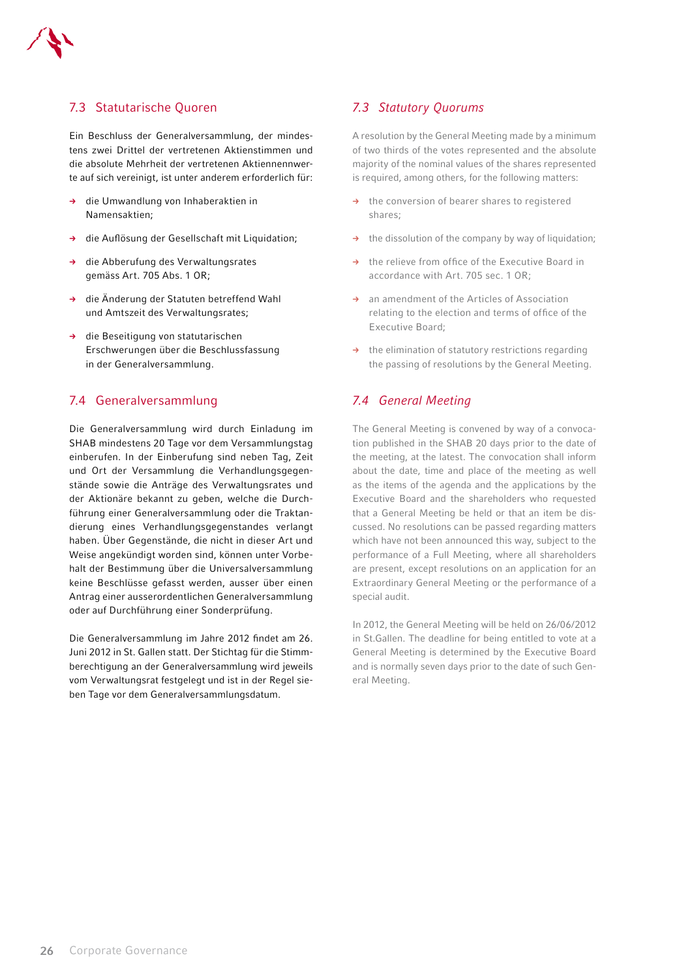

### 7.3 Statutarische Quoren

Ein Beschluss der Generalversammlung, der mindestens zwei Drittel der vertretenen Aktienstimmen und die absolute Mehrheit der vertretenen Aktiennennwerte auf sich vereinigt, ist unter anderem erforderlich für:

- $\rightarrow$  die Umwandlung von Inhaberaktien in Namensaktien;
- $\rightarrow$  die Auflösung der Gesellschaft mit Liquidation:
- $\rightarrow$  die Abberufung des Verwaltungsrates gemäss Art. 705 Abs. 1 OR;
- → die Änderung der Statuten betreffend Wahl und Amtszeit des Verwaltungsrates;
- $\rightarrow$  die Beseitigung von statutarischen Erschwerungen über die Beschlussfassung in der Generalversammlung.

# 7.4 Generalversammlung

Die Generalversammlung wird durch Einladung im SHAB mindestens 20 Tage vor dem Versammlungstag einberufen. In der Einberufung sind neben Tag, Zeit und Ort der Versammlung die Verhandlungsgegenstände sowie die Anträge des Verwaltungsrates und der Aktionäre bekannt zu geben, welche die Durchführung einer Generalversammlung oder die Traktandierung eines Verhandlungsgegenstandes verlangt haben. Über Gegenstände, die nicht in dieser Art und Weise angekündigt worden sind, können unter Vorbehalt der Bestimmung über die Universalversammlung keine Beschlüsse gefasst werden, ausser über einen Antrag einer ausserordentlichen Generalversammlung oder auf Durchführung einer Sonderprüfung.

Die Generalversammlung im Jahre 2012 findet am 26. Juni 2012 in St. Gallen statt. Der Stichtag für die Stimmberechtigung an der Generalversammlung wird jeweils vom Verwaltungsrat festgelegt und ist in der Regel sieben Tage vor dem Generalversammlungsdatum.

### 7.3 Statutory Quorums

A resolution by the General Meeting made by a minimum of two thirds of the votes represented and the absolute majority of the nominal values of the shares represented is required, among others, for the following matters:

- $\rightarrow$  the conversion of bearer shares to registered shares;
- $\rightarrow$  the dissolution of the company by way of liquidation:
- $\rightarrow$  the relieve from office of the Executive Board in accordance with Art. 705 sec. 1 OR;
- $\rightarrow$  an amendment of the Articles of Association relating to the election and terms of office of the Executive Board;
- $\rightarrow$  the elimination of statutory restrictions regarding the passing of resolutions by the General Meeting.

# 7.4 General Meeting

The General Meeting is convened by way of a convocation published in the SHAB 20 days prior to the date of the meeting, at the latest. The convocation shall inform about the date, time and place of the meeting as well as the items of the agenda and the applications by the Executive Board and the shareholders who requested that a General Meeting be held or that an item be discussed. No resolutions can be passed regarding matters which have not been announced this way, subject to the performance of a Full Meeting, where all shareholders are present, except resolutions on an application for an Extraordinary General Meeting or the performance of a special audit.

In 2012, the General Meeting will be held on 26/06/2012 in St.Gallen. The deadline for being entitled to vote at a General Meeting is determined by the Executive Board and is normally seven days prior to the date of such General Meeting.